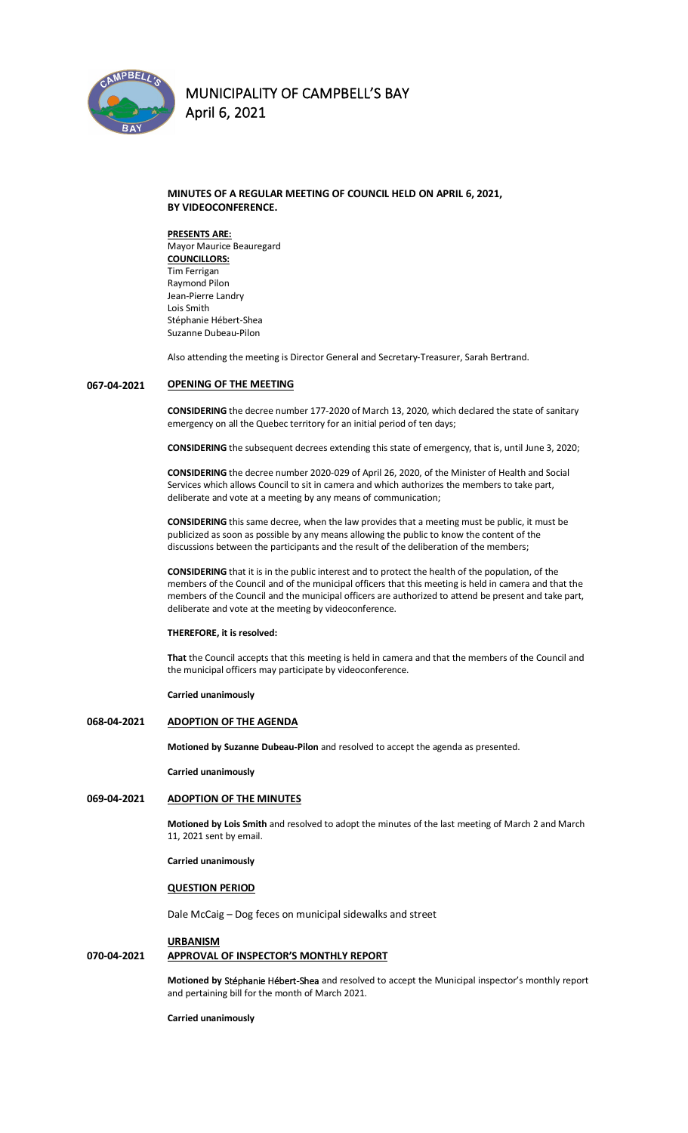

#### **MINUTES OF A REGULAR MEETING OF COUNCIL HELD ON APRIL 6, 2021, BY VIDEOCONFERENCE.**

**PRESENTS ARE:**  Mayor Maurice Beauregard **COUNCILLORS:** Tim Ferrigan Raymond Pilon Jean-Pierre Landry Lois Smith Stéphanie Hébert-Shea Suzanne Dubeau-Pilon

Also attending the meeting is Director General and Secretary-Treasurer, Sarah Bertrand.

#### **067-04-2021 OPENING OF THE MEETING**

**CONSIDERING** the decree number 177-2020 of March 13, 2020, which declared the state of sanitary emergency on all the Quebec territory for an initial period of ten days;

**CONSIDERING** the subsequent decrees extending this state of emergency, that is, until June 3, 2020;

**CONSIDERING** the decree number 2020-029 of April 26, 2020, of the Minister of Health and Social Services which allows Council to sit in camera and which authorizes the members to take part, deliberate and vote at a meeting by any means of communication;

**CONSIDERING** this same decree, when the law provides that a meeting must be public, it must be publicized as soon as possible by any means allowing the public to know the content of the discussions between the participants and the result of the deliberation of the members;

**CONSIDERING** that it is in the public interest and to protect the health of the population, of the members of the Council and of the municipal officers that this meeting is held in camera and that the members of the Council and the municipal officers are authorized to attend be present and take part, deliberate and vote at the meeting by videoconference.

**THEREFORE, it is resolved:**

**That** the Council accepts that this meeting is held in camera and that the members of the Council and the municipal officers may participate by videoconference.

**Carried unanimously**

#### **068-04-2021 ADOPTION OF THE AGENDA**

**Motioned by Suzanne Dubeau-Pilon** and resolved to accept the agenda as presented.

**Carried unanimously**

### **069-04-2021 ADOPTION OF THE MINUTES**

**Motioned by Lois Smith** and resolved to adopt the minutes of the last meeting of March 2 and March 11, 2021 sent by email.

**Carried unanimously**

#### **QUESTION PERIOD**

Dale McCaig – Dog feces on municipal sidewalks and street

#### **URBANISM**

#### **070-04-2021 APPROVAL OF INSPECTOR'S MONTHLY REPORT**

**Motioned by Stéphanie Hébert-Shea** and resolved to accept the Municipal inspector's monthly report and pertaining bill for the month of March 2021.

**Carried unanimously**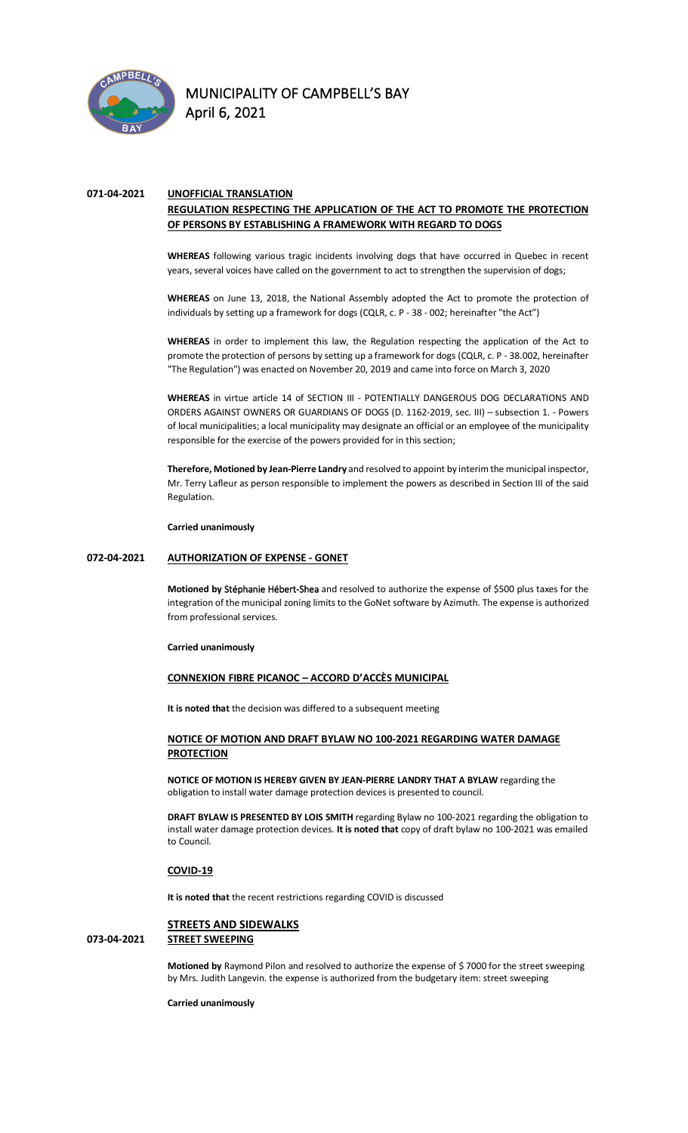

### **071-04-2021 UNOFFICIAL TRANSLATION**

### **REGULATION RESPECTING THE APPLICATION OF THE ACT TO PROMOTE THE PROTECTION OF PERSONS BY ESTABLISHING A FRAMEWORK WITH REGARD TO DOGS**

**WHEREAS** following various tragic incidents involving dogs that have occurred in Quebec in recent years, several voices have called on the government to act to strengthen the supervision of dogs;

**WHEREAS** on June 13, 2018, the National Assembly adopted the Act to promote the protection of individuals by setting up a framework for dogs (CQLR, c. P - 38 - 002; hereinafter "the Act")

**WHEREAS** in order to implement this law, the Regulation respecting the application of the Act to promote the protection of persons by setting up a framework for dogs (CQLR, c. P - 38.002, hereinafter "The Regulation") was enacted on November 20, 2019 and came into force on March 3, 2020

**WHEREAS** in virtue article 14 of SECTION III - POTENTIALLY DANGEROUS DOG DECLARATIONS AND ORDERS AGAINST OWNERS OR GUARDIANS OF DOGS (D. 1162-2019, sec. III) – subsection 1. - Powers of local municipalities; a local municipality may designate an official or an employee of the municipality responsible for the exercise of the powers provided for in this section;

**Therefore, Motioned by Jean-Pierre Landry** and resolved to appoint by interimthe municipal inspector, Mr. Terry Lafleur as person responsible to implement the powers as described in Section III of the said Regulation.

**Carried unanimously**

#### **072-04-2021 AUTHORIZATION OF EXPENSE - GONET**

**Motioned by Stéphanie Hébert-Shea** and resolved to authorize the expense of \$500 plus taxes for the integration of the municipal zoning limits to the GoNet software by Azimuth. The expense is authorized from professional services.

#### **Carried unanimously**

**CONNEXION FIBRE PICANOC – ACCORD D'ACCÈS MUNICIPAL**

**It is noted that** the decision was differed to a subsequent meeting

#### **NOTICE OF MOTION AND DRAFT BYLAW NO 100-2021 REGARDING WATER DAMAGE PROTECTION**

**NOTICE OF MOTION IS HEREBY GIVEN BY JEAN-PIERRE LANDRY THAT A BYLAW** regarding the obligation to install water damage protection devices is presented to council.

**DRAFT BYLAW IS PRESENTED BY LOIS SMITH** regarding Bylaw no 100-2021 regarding the obligation to install water damage protection devices. **It is noted that** copy of draft bylaw no 100-2021 was emailed to Council.

#### **COVID-19**

**It is noted that** the recent restrictions regarding COVID is discussed

#### **STREETS AND SIDEWALKS 073-04-2021 STREET SWEEPING**

**Motioned by** Raymond Pilon and resolved to authorize the expense of \$ 7000 for the street sweeping by Mrs. Judith Langevin. the expense is authorized from the budgetary item: street sweeping

**Carried unanimously**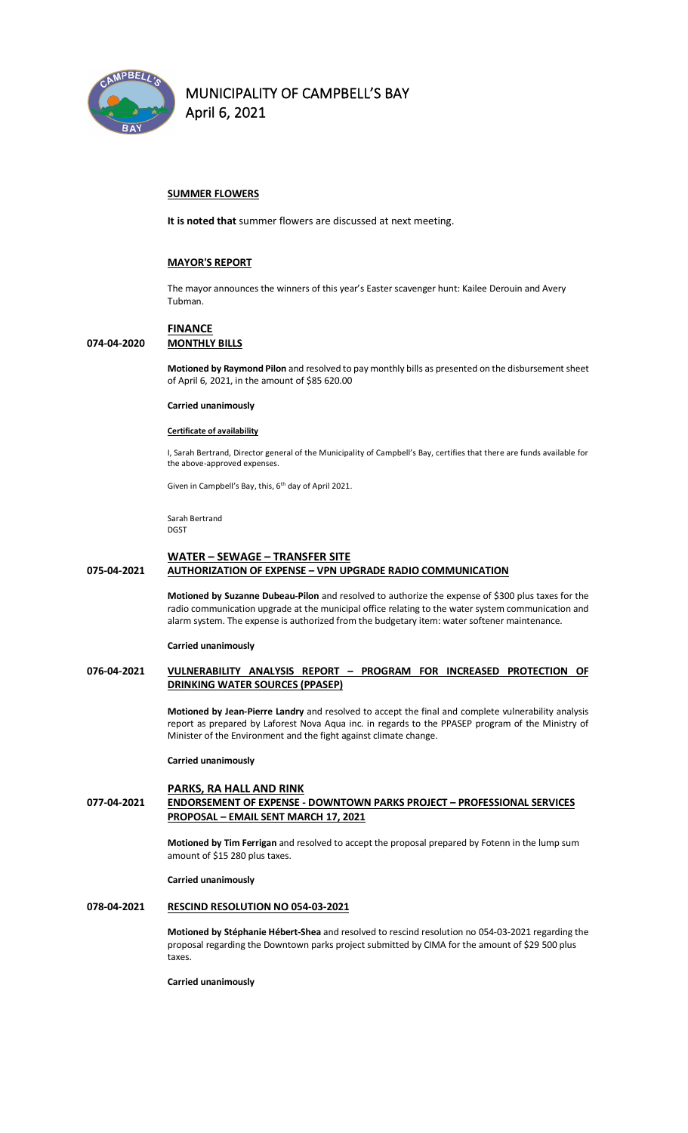

#### **SUMMER FLOWERS**

**It is noted that** summer flowers are discussed at next meeting.

#### **MAYOR'S REPORT**

The mayor announces the winners of this year's Easter scavenger hunt: Kailee Derouin and Avery Tubman.

#### **FINANCE 074-04-2020 MONTHLY BILLS**

**Motioned by Raymond Pilon** and resolved to pay monthly bills as presented on the disbursement sheet of April 6, 2021, in the amount of \$85 620.00

#### **Carried unanimously**

#### **Certificate of availability**

I, Sarah Bertrand, Director general of the Municipality of Campbell's Bay, certifies that there are funds available for the above-approved expenses.

Given in Campbell's Bay, this, 6<sup>th</sup> day of April 2021.

Sarah Bertrand DGST

#### **WATER – SEWAGE – TRANSFER SITE**

#### **075-04-2021 AUTHORIZATION OF EXPENSE – VPN UPGRADE RADIO COMMUNICATION**

**Motioned by Suzanne Dubeau-Pilon** and resolved to authorize the expense of \$300 plus taxes for the radio communication upgrade at the municipal office relating to the water system communication and alarm system. The expense is authorized from the budgetary item: water softener maintenance.

#### **Carried unanimously**

#### **076-04-2021 VULNERABILITY ANALYSIS REPORT – PROGRAM FOR INCREASED PROTECTION OF DRINKING WATER SOURCES (PPASEP)**

**Motioned by Jean-Pierre Landry** and resolved to accept the final and complete vulnerability analysis report as prepared by Laforest Nova Aqua inc. in regards to the PPASEP program of the Ministry of Minister of the Environment and the fight against climate change.

#### **Carried unanimously**

#### **PARKS, RA HALL AND RINK 077-04-2021 ENDORSEMENT OF EXPENSE - DOWNTOWN PARKS PROJECT – PROFESSIONAL SERVICES PROPOSAL – EMAIL SENT MARCH 17, 2021**

**Motioned by Tim Ferrigan** and resolved to accept the proposal prepared by Fotenn in the lump sum amount of \$15 280 plus taxes.

#### **Carried unanimously**

#### **078-04-2021 RESCIND RESOLUTION NO 054-03-2021**

**Motioned by Stéphanie Hébert-Shea** and resolved to rescind resolution no 054-03-2021 regarding the proposal regarding the Downtown parks project submitted by CIMA for the amount of \$29 500 plus taxes.

**Carried unanimously**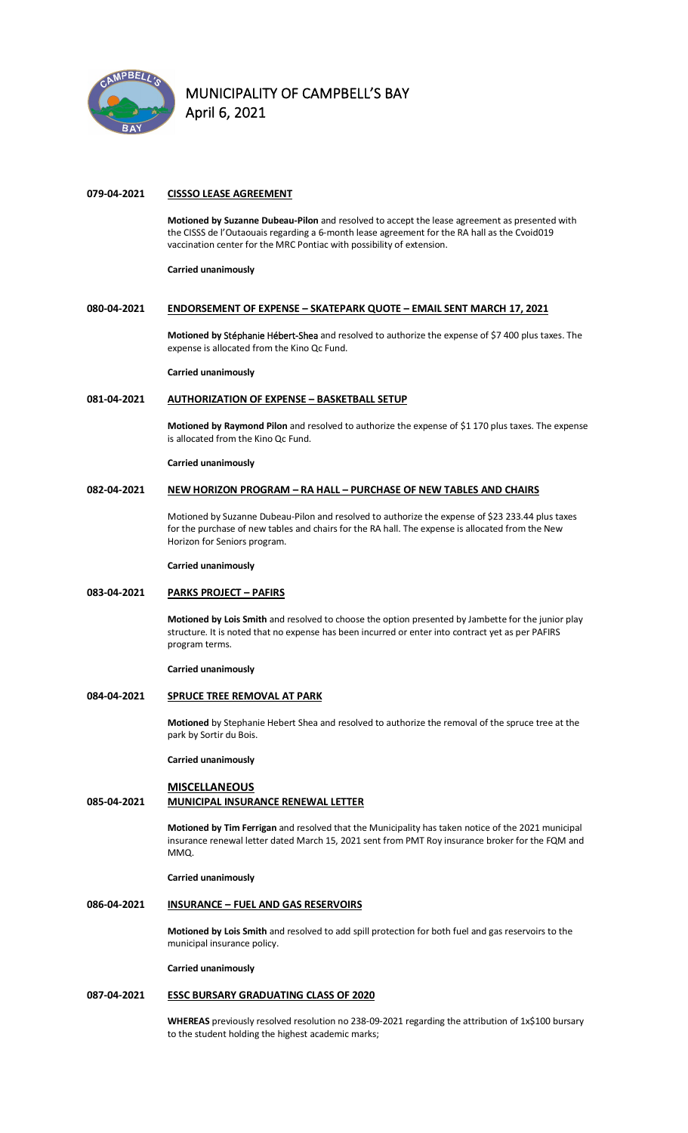

#### **079-04-2021 CISSSO LEASE AGREEMENT**

**Motioned by Suzanne Dubeau-Pilon** and resolved to accept the lease agreement as presented with the CISSS de l'Outaouais regarding a 6-month lease agreement for the RA hall as the Cvoid019 vaccination center for the MRC Pontiac with possibility of extension.

**Carried unanimously**

#### **080-04-2021 ENDORSEMENT OF EXPENSE – SKATEPARK QUOTE – EMAIL SENT MARCH 17, 2021**

**Motioned by Stéphanie Hébert-Shea** and resolved to authorize the expense of \$7 400 plus taxes. The expense is allocated from the Kino Qc Fund.

**Carried unanimously**

#### **081-04-2021 AUTHORIZATION OF EXPENSE – BASKETBALL SETUP**

**Motioned by Raymond Pilon** and resolved to authorize the expense of \$1 170 plus taxes. The expense is allocated from the Kino Qc Fund.

#### **Carried unanimously**

#### **082-04-2021 NEW HORIZON PROGRAM – RA HALL – PURCHASE OF NEW TABLES AND CHAIRS**

Motioned by Suzanne Dubeau-Pilon and resolved to authorize the expense of \$23 233.44 plus taxes for the purchase of new tables and chairs for the RA hall. The expense is allocated from the New Horizon for Seniors program.

**Carried unanimously**

#### **083-04-2021 PARKS PROJECT – PAFIRS**

**Motioned by Lois Smith** and resolved to choose the option presented by Jambette for the junior play structure. It is noted that no expense has been incurred or enter into contract yet as per PAFIRS program terms.

**Carried unanimously**

#### **084-04-2021 SPRUCE TREE REMOVAL AT PARK**

**Motioned** by Stephanie Hebert Shea and resolved to authorize the removal of the spruce tree at the park by Sortir du Bois.

**Carried unanimously**

#### **MISCELLANEOUS 085-04-2021 MUNICIPAL INSURANCE RENEWAL LETTER**

**Motioned by Tim Ferrigan** and resolved that the Municipality has taken notice of the 2021 municipal insurance renewal letter dated March 15, 2021 sent from PMT Roy insurance broker for the FQM and MMQ.

**Carried unanimously**

#### **086-04-2021 INSURANCE – FUEL AND GAS RESERVOIRS**

**Motioned by Lois Smith** and resolved to add spill protection for both fuel and gas reservoirs to the municipal insurance policy.

**Carried unanimously**

#### **087-04-2021 ESSC BURSARY GRADUATING CLASS OF 2020**

**WHEREAS** previously resolved resolution no 238-09-2021 regarding the attribution of 1x\$100 bursary to the student holding the highest academic marks;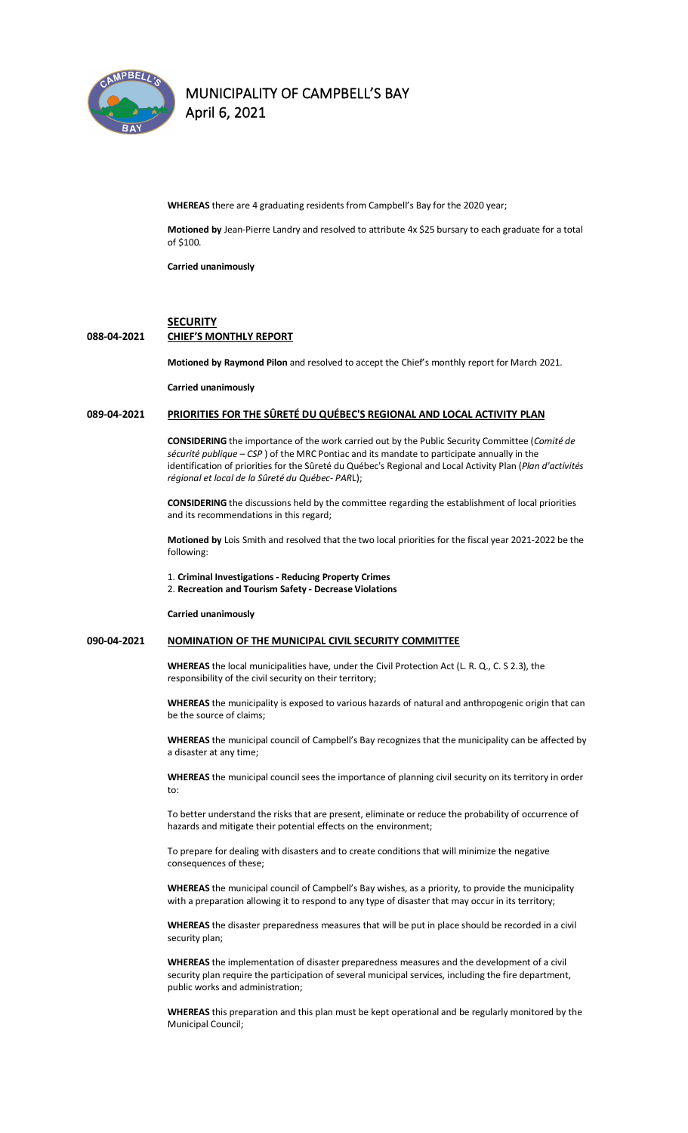

## **MUNICIPALITY OF CAMPBELL'S BAY**

**April 6, 2021** 

**WHEREAS** there are 4 graduating residents from Campbell's Bay for the 2020 year;

**Motioned by** Jean-Pierre Landry and resolved to attribute 4x \$25 bursary to each graduate for a total of \$100.

**Carried unanimously**

#### **SECURITY**

#### **088-04-2021 CHIEF'S MONTHLY REPORT**

**Motioned by Raymond Pilon** and resolved to accept the Chief's monthly report for March 2021.

**Carried unanimously**

### **089-04-2021 PRIORITIES FOR THE SÛRETÉ DU QUÉBEC'S REGIONAL AND LOCAL ACTIVITY PLAN**

**CONSIDERING** the importance of the work carried out by the Public Security Committee (*Comité de sécurité publique – CSP* ) of the MRC Pontiac and its mandate to participate annually in the identification of priorities for the Sûreté du Québec's Regional and Local Activity Plan (*Plan d'activités régional et local de la Sûreté du Québec- PAR*L);

**CONSIDERING** the discussions held by the committee regarding the establishment of local priorities and its recommendations in this regard;

**Motioned by** Lois Smith and resolved that the two local priorities for the fiscal year 2021-2022 be the following:

1. **Criminal Investigations - Reducing Property Crimes** 

2. **Recreation and Tourism Safety - Decrease Violations**

**Carried unanimously**

#### **090-04-2021 NOMINATION OF THE MUNICIPAL CIVIL SECURITY COMMITTEE**

**WHEREAS** the local municipalities have, under the Civil Protection Act (L. R. Q., C. S 2.3), the responsibility of the civil security on their territory;

**WHEREAS** the municipality is exposed to various hazards of natural and anthropogenic origin that can be the source of claims;

**WHEREAS** the municipal council of Campbell's Bay recognizes that the municipality can be affected by a disaster at any time;

**WHEREAS** the municipal council sees the importance of planning civil security on its territory in order to:

To better understand the risks that are present, eliminate or reduce the probability of occurrence of hazards and mitigate their potential effects on the environment;

To prepare for dealing with disasters and to create conditions that will minimize the negative consequences of these;

**WHEREAS** the municipal council of Campbell's Bay wishes, as a priority, to provide the municipality with a preparation allowing it to respond to any type of disaster that may occur in its territory;

**WHEREAS** the disaster preparedness measures that will be put in place should be recorded in a civil security plan;

**WHEREAS** the implementation of disaster preparedness measures and the development of a civil security plan require the participation of several municipal services, including the fire department, public works and administration;

**WHEREAS** this preparation and this plan must be kept operational and be regularly monitored by the Municipal Council;